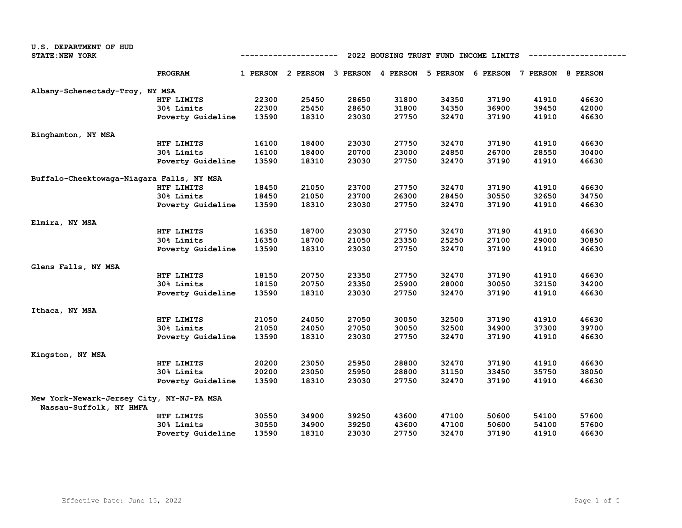| U.S. DEPARTMENT OF HUD                    |                   |                                                     |       |       |       |                                                                         |       |       |       |
|-------------------------------------------|-------------------|-----------------------------------------------------|-------|-------|-------|-------------------------------------------------------------------------|-------|-------|-------|
| <b>STATE: NEW YORK</b>                    |                   | 2022 HOUSING TRUST FUND INCOME LIMITS<br>---------- |       |       |       |                                                                         |       |       |       |
|                                           |                   |                                                     |       |       |       |                                                                         |       |       |       |
|                                           | PROGRAM           |                                                     |       |       |       | 1 PERSON 2 PERSON 3 PERSON 4 PERSON 5 PERSON 6 PERSON 7 PERSON 8 PERSON |       |       |       |
| Albany-Schenectady-Troy, NY MSA           |                   |                                                     |       |       |       |                                                                         |       |       |       |
|                                           | HTF LIMITS        | 22300                                               | 25450 | 28650 | 31800 | 34350                                                                   | 37190 | 41910 | 46630 |
|                                           | 30% Limits        | 22300                                               | 25450 | 28650 | 31800 | 34350                                                                   | 36900 | 39450 | 42000 |
|                                           | Poverty Guideline | 13590                                               | 18310 | 23030 | 27750 | 32470                                                                   | 37190 | 41910 | 46630 |
|                                           |                   |                                                     |       |       |       |                                                                         |       |       |       |
| Binghamton, NY MSA                        |                   |                                                     |       |       |       |                                                                         |       |       |       |
|                                           | HTF LIMITS        | 16100                                               | 18400 | 23030 | 27750 | 32470                                                                   | 37190 | 41910 | 46630 |
|                                           | 30% Limits        | 16100                                               | 18400 | 20700 | 23000 | 24850                                                                   | 26700 | 28550 | 30400 |
|                                           | Poverty Guideline | 13590                                               | 18310 | 23030 | 27750 | 32470                                                                   | 37190 | 41910 | 46630 |
| Buffalo-Cheektowaga-Niagara Falls, NY MSA |                   |                                                     |       |       |       |                                                                         |       |       |       |
|                                           | <b>HTF LIMITS</b> | 18450                                               | 21050 | 23700 | 27750 | 32470                                                                   | 37190 | 41910 | 46630 |
|                                           | 30% Limits        | 18450                                               | 21050 | 23700 | 26300 | 28450                                                                   | 30550 | 32650 | 34750 |
|                                           | Poverty Guideline | 13590                                               | 18310 | 23030 | 27750 | 32470                                                                   | 37190 | 41910 | 46630 |
|                                           |                   |                                                     |       |       |       |                                                                         |       |       |       |
| Elmira, NY MSA                            |                   |                                                     |       |       |       |                                                                         |       |       |       |
|                                           | HTF LIMITS        | 16350                                               | 18700 | 23030 | 27750 | 32470                                                                   | 37190 | 41910 | 46630 |
|                                           | 30% Limits        | 16350                                               | 18700 | 21050 | 23350 | 25250                                                                   | 27100 | 29000 | 30850 |
|                                           | Poverty Guideline | 13590                                               | 18310 | 23030 | 27750 | 32470                                                                   | 37190 | 41910 | 46630 |
| Glens Falls, NY MSA                       |                   |                                                     |       |       |       |                                                                         |       |       |       |
|                                           | HTF LIMITS        | 18150                                               | 20750 | 23350 | 27750 | 32470                                                                   | 37190 | 41910 | 46630 |
|                                           | 30% Limits        | 18150                                               | 20750 | 23350 | 25900 | 28000                                                                   | 30050 | 32150 | 34200 |
|                                           | Poverty Guideline | 13590                                               | 18310 | 23030 | 27750 | 32470                                                                   | 37190 | 41910 | 46630 |
|                                           |                   |                                                     |       |       |       |                                                                         |       |       |       |
| Ithaca, NY MSA                            | HTF LIMITS        | 21050                                               | 24050 | 27050 | 30050 | 32500                                                                   | 37190 | 41910 | 46630 |
|                                           | 30% Limits        | 21050                                               | 24050 | 27050 | 30050 | 32500                                                                   | 34900 | 37300 | 39700 |
|                                           |                   |                                                     |       |       |       |                                                                         |       |       |       |
|                                           | Poverty Guideline | 13590                                               | 18310 | 23030 | 27750 | 32470                                                                   | 37190 | 41910 | 46630 |
| Kingston, NY MSA                          |                   |                                                     |       |       |       |                                                                         |       |       |       |
|                                           | HTF LIMITS        | 20200                                               | 23050 | 25950 | 28800 | 32470                                                                   | 37190 | 41910 | 46630 |
|                                           | 30% Limits        | 20200                                               | 23050 | 25950 | 28800 | 31150                                                                   | 33450 | 35750 | 38050 |
|                                           | Poverty Guideline | 13590                                               | 18310 | 23030 | 27750 | 32470                                                                   | 37190 | 41910 | 46630 |
| New York-Newark-Jersey City, NY-NJ-PA MSA |                   |                                                     |       |       |       |                                                                         |       |       |       |
| Nassau-Suffolk, NY HMFA                   |                   |                                                     |       |       |       |                                                                         |       |       |       |
|                                           | HTF LIMITS        | 30550                                               | 34900 | 39250 | 43600 | 47100                                                                   | 50600 | 54100 | 57600 |
|                                           | <b>30% Limits</b> | 30550                                               | 34900 | 39250 | 43600 | 47100                                                                   | 50600 | 54100 | 57600 |
|                                           | Poverty Guideline | 13590                                               | 18310 | 23030 | 27750 | 32470                                                                   | 37190 | 41910 | 46630 |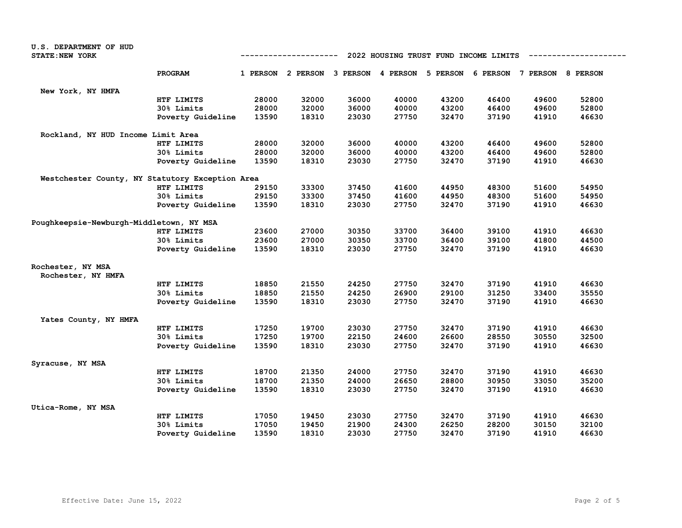| <b>U.S. DEPARTMENT OF HUD</b>                   |                   |       |                                                                         |       |       |                                       |       |       |       |
|-------------------------------------------------|-------------------|-------|-------------------------------------------------------------------------|-------|-------|---------------------------------------|-------|-------|-------|
| STATE: NEW YORK                                 |                   |       | -----------                                                             |       |       | 2022 HOUSING TRUST FUND INCOME LIMITS |       |       |       |
|                                                 | PROGRAM           |       | 1 PERSON 2 PERSON 3 PERSON 4 PERSON 5 PERSON 6 PERSON 7 PERSON 8 PERSON |       |       |                                       |       |       |       |
| New York, NY HMFA                               |                   |       |                                                                         |       |       |                                       |       |       |       |
|                                                 | HTF LIMITS        | 28000 | 32000                                                                   | 36000 | 40000 | 43200                                 | 46400 | 49600 | 52800 |
|                                                 | 30% Limits        | 28000 | 32000                                                                   | 36000 | 40000 | 43200                                 | 46400 | 49600 | 52800 |
|                                                 | Poverty Guideline | 13590 | 18310                                                                   | 23030 | 27750 | 32470                                 | 37190 | 41910 | 46630 |
| Rockland, NY HUD Income Limit Area              |                   |       |                                                                         |       |       |                                       |       |       |       |
|                                                 | HTF LIMITS        | 28000 | 32000                                                                   | 36000 | 40000 | 43200                                 | 46400 | 49600 | 52800 |
|                                                 | 30% Limits        | 28000 | 32000                                                                   | 36000 | 40000 | 43200                                 | 46400 | 49600 | 52800 |
|                                                 | Poverty Guideline | 13590 | 18310                                                                   | 23030 | 27750 | 32470                                 | 37190 | 41910 | 46630 |
| Westchester County, NY Statutory Exception Area |                   |       |                                                                         |       |       |                                       |       |       |       |
|                                                 | HTF LIMITS        | 29150 | 33300                                                                   | 37450 | 41600 | 44950                                 | 48300 | 51600 | 54950 |
|                                                 | 30% Limits        | 29150 | 33300                                                                   | 37450 | 41600 | 44950                                 | 48300 | 51600 | 54950 |
|                                                 | Poverty Guideline | 13590 | 18310                                                                   | 23030 | 27750 | 32470                                 | 37190 | 41910 | 46630 |
| Poughkeepsie-Newburgh-Middletown, NY MSA        |                   |       |                                                                         |       |       |                                       |       |       |       |
|                                                 | HTF LIMITS        | 23600 | 27000                                                                   | 30350 | 33700 | 36400                                 | 39100 | 41910 | 46630 |
|                                                 | 30% Limits        | 23600 | 27000                                                                   | 30350 | 33700 | 36400                                 | 39100 | 41800 | 44500 |
|                                                 | Poverty Guideline | 13590 | 18310                                                                   | 23030 | 27750 | 32470                                 | 37190 | 41910 | 46630 |
| Rochester, NY MSA                               |                   |       |                                                                         |       |       |                                       |       |       |       |
| Rochester, NY HMFA                              |                   |       |                                                                         |       |       |                                       |       |       |       |
|                                                 | HTF LIMITS        | 18850 | 21550                                                                   | 24250 | 27750 | 32470                                 | 37190 | 41910 | 46630 |
|                                                 | 30% Limits        | 18850 | 21550                                                                   | 24250 | 26900 | 29100                                 | 31250 | 33400 | 35550 |
|                                                 | Poverty Guideline | 13590 | 18310                                                                   | 23030 | 27750 | 32470                                 | 37190 | 41910 | 46630 |
| Yates County, NY HMFA                           |                   |       |                                                                         |       |       |                                       |       |       |       |
|                                                 | HTF LIMITS        | 17250 | 19700                                                                   | 23030 | 27750 | 32470                                 | 37190 | 41910 | 46630 |
|                                                 | 30% Limits        | 17250 | 19700                                                                   | 22150 | 24600 | 26600                                 | 28550 | 30550 | 32500 |
|                                                 | Poverty Guideline | 13590 | 18310                                                                   | 23030 | 27750 | 32470                                 | 37190 | 41910 | 46630 |
| Syracuse, NY MSA                                |                   |       |                                                                         |       |       |                                       |       |       |       |
|                                                 | HTF LIMITS        | 18700 | 21350                                                                   | 24000 | 27750 | 32470                                 | 37190 | 41910 | 46630 |
|                                                 | 30% Limits        | 18700 | 21350                                                                   | 24000 | 26650 | 28800                                 | 30950 | 33050 | 35200 |
|                                                 | Poverty Guideline | 13590 | 18310                                                                   | 23030 | 27750 | 32470                                 | 37190 | 41910 | 46630 |
| Utica-Rome, NY MSA                              |                   |       |                                                                         |       |       |                                       |       |       |       |
|                                                 | HTF LIMITS        | 17050 | 19450                                                                   | 23030 | 27750 | 32470                                 | 37190 | 41910 | 46630 |
|                                                 | 30% Limits        | 17050 | 19450                                                                   | 21900 | 24300 | 26250                                 | 28200 | 30150 | 32100 |
|                                                 | Poverty Guideline | 13590 | 18310                                                                   | 23030 | 27750 | 32470                                 | 37190 | 41910 | 46630 |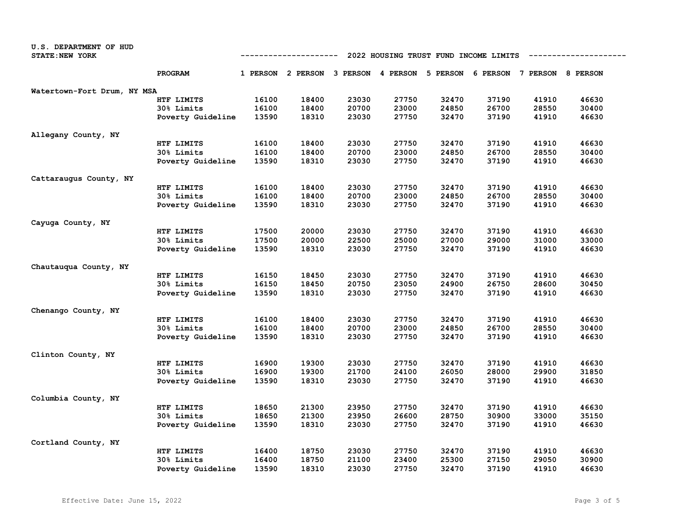| U.S. DEPARTMENT OF HUD      |                                                                         |       |                                              |       |       |       |       |                            |       |
|-----------------------------|-------------------------------------------------------------------------|-------|----------------------------------------------|-------|-------|-------|-------|----------------------------|-------|
| STATE: NEW YORK             | 2022 HOUSING TRUST FUND INCOME LIMITS<br>----------------<br>---------- |       |                                              |       |       |       |       |                            |       |
|                             | <b>PROGRAM</b>                                                          |       | 1 PERSON 2 PERSON 3 PERSON 4 PERSON 5 PERSON |       |       |       |       | 6 PERSON 7 PERSON 8 PERSON |       |
| Watertown-Fort Drum, NY MSA |                                                                         |       |                                              |       |       |       |       |                            |       |
|                             | HTF LIMITS                                                              | 16100 | 18400                                        | 23030 | 27750 | 32470 | 37190 | 41910                      | 46630 |
|                             | 30% Limits                                                              | 16100 | 18400                                        | 20700 | 23000 | 24850 | 26700 | 28550                      | 30400 |
|                             | Poverty Guideline                                                       | 13590 | 18310                                        | 23030 | 27750 | 32470 | 37190 | 41910                      | 46630 |
| Allegany County, NY         |                                                                         |       |                                              |       |       |       |       |                            |       |
|                             | HTF LIMITS                                                              | 16100 | 18400                                        | 23030 | 27750 | 32470 | 37190 | 41910                      | 46630 |
|                             | 30% Limits                                                              | 16100 | 18400                                        | 20700 | 23000 | 24850 | 26700 | 28550                      | 30400 |
|                             | Poverty Guideline                                                       | 13590 | 18310                                        | 23030 | 27750 | 32470 | 37190 | 41910                      | 46630 |
| Cattaraugus County, NY      |                                                                         |       |                                              |       |       |       |       |                            |       |
|                             | HTF LIMITS                                                              | 16100 | 18400                                        | 23030 | 27750 | 32470 | 37190 | 41910                      | 46630 |
|                             | 30% Limits                                                              | 16100 | 18400                                        | 20700 | 23000 | 24850 | 26700 | 28550                      | 30400 |
|                             | Poverty Guideline                                                       | 13590 | 18310                                        | 23030 | 27750 | 32470 | 37190 | 41910                      | 46630 |
| Cayuga County, NY           |                                                                         |       |                                              |       |       |       |       |                            |       |
|                             | HTF LIMITS                                                              | 17500 | 20000                                        | 23030 | 27750 | 32470 | 37190 | 41910                      | 46630 |
|                             | 30% Limits                                                              | 17500 | 20000                                        | 22500 | 25000 | 27000 | 29000 | 31000                      | 33000 |
|                             | Poverty Guideline                                                       | 13590 | 18310                                        | 23030 | 27750 | 32470 | 37190 | 41910                      | 46630 |
| Chautauqua County, NY       |                                                                         |       |                                              |       |       |       |       |                            |       |
|                             | HTF LIMITS                                                              | 16150 | 18450                                        | 23030 | 27750 | 32470 | 37190 | 41910                      | 46630 |
|                             | 30% Limits                                                              | 16150 | 18450                                        | 20750 | 23050 | 24900 | 26750 | 28600                      | 30450 |
|                             | Poverty Guideline                                                       | 13590 | 18310                                        | 23030 | 27750 | 32470 | 37190 | 41910                      | 46630 |
| Chenango County, NY         |                                                                         |       |                                              |       |       |       |       |                            |       |
|                             | HTF LIMITS                                                              | 16100 | 18400                                        | 23030 | 27750 | 32470 | 37190 | 41910                      | 46630 |
|                             | 30% Limits                                                              | 16100 | 18400                                        | 20700 | 23000 | 24850 | 26700 | 28550                      | 30400 |
|                             | Poverty Guideline                                                       | 13590 | 18310                                        | 23030 | 27750 | 32470 | 37190 | 41910                      | 46630 |
| Clinton County, NY          |                                                                         |       |                                              |       |       |       |       |                            |       |
|                             | HTF LIMITS                                                              | 16900 | 19300                                        | 23030 | 27750 | 32470 | 37190 | 41910                      | 46630 |
|                             | 30% Limits                                                              | 16900 | 19300                                        | 21700 | 24100 | 26050 | 28000 | 29900                      | 31850 |
|                             | Poverty Guideline                                                       | 13590 | 18310                                        | 23030 | 27750 | 32470 | 37190 | 41910                      | 46630 |
|                             |                                                                         |       |                                              |       |       |       |       |                            |       |
| Columbia County, NY         | HTF LIMITS                                                              | 18650 | 21300                                        | 23950 | 27750 | 32470 | 37190 | 41910                      | 46630 |
|                             | 30% Limits                                                              | 18650 | 21300                                        | 23950 | 26600 | 28750 | 30900 | 33000                      | 35150 |
|                             | Poverty Guideline                                                       | 13590 | 18310                                        | 23030 | 27750 | 32470 | 37190 | 41910                      | 46630 |
|                             |                                                                         |       |                                              |       |       |       |       |                            |       |
| Cortland County, NY         |                                                                         |       |                                              |       |       |       |       |                            |       |
|                             | HTF LIMITS                                                              | 16400 | 18750                                        | 23030 | 27750 | 32470 | 37190 | 41910                      | 46630 |
|                             | 30% Limits                                                              | 16400 | 18750                                        | 21100 | 23400 | 25300 | 27150 | 29050                      | 30900 |
|                             | Poverty Guideline                                                       | 13590 | 18310                                        | 23030 | 27750 | 32470 | 37190 | 41910                      | 46630 |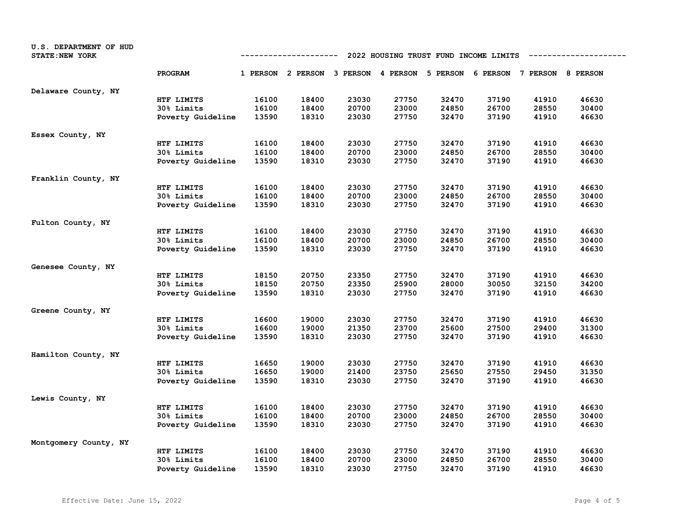| U.S. DEPARTMENT OF HUD<br>STATE: NEW YORK |                   | 2022 HOUSING TRUST FUND INCOME LIMITS<br>---------- |                                                                         |       |       |       |       |       |       |
|-------------------------------------------|-------------------|-----------------------------------------------------|-------------------------------------------------------------------------|-------|-------|-------|-------|-------|-------|
|                                           | PROGRAM           |                                                     | 1 PERSON 2 PERSON 3 PERSON 4 PERSON 5 PERSON 6 PERSON 7 PERSON 8 PERSON |       |       |       |       |       |       |
| Delaware County, NY                       |                   |                                                     |                                                                         |       |       |       |       |       |       |
|                                           | HTF LIMITS        | 16100                                               | 18400                                                                   | 23030 | 27750 | 32470 | 37190 | 41910 | 46630 |
|                                           | 30% Limits        | 16100                                               | 18400                                                                   | 20700 | 23000 | 24850 | 26700 | 28550 | 30400 |
|                                           | Poverty Guideline | 13590                                               | 18310                                                                   | 23030 | 27750 | 32470 | 37190 | 41910 | 46630 |
| Essex County, NY                          |                   |                                                     |                                                                         |       |       |       |       |       |       |
|                                           | HTF LIMITS        | 16100                                               | 18400                                                                   | 23030 | 27750 | 32470 | 37190 | 41910 | 46630 |
|                                           | 30% Limits        | 16100                                               | 18400                                                                   | 20700 | 23000 | 24850 | 26700 | 28550 | 30400 |
|                                           | Poverty Guideline | 13590                                               | 18310                                                                   | 23030 | 27750 | 32470 | 37190 | 41910 | 46630 |
| Franklin County, NY                       |                   |                                                     |                                                                         |       |       |       |       |       |       |
|                                           | HTF LIMITS        | 16100                                               | 18400                                                                   | 23030 | 27750 | 32470 | 37190 | 41910 | 46630 |
|                                           | 30% Limits        | 16100                                               | 18400                                                                   | 20700 | 23000 | 24850 | 26700 | 28550 | 30400 |
|                                           | Poverty Guideline | 13590                                               | 18310                                                                   | 23030 | 27750 | 32470 | 37190 | 41910 | 46630 |
| Fulton County, NY                         |                   |                                                     |                                                                         |       |       |       |       |       |       |
|                                           | HTF LIMITS        | 16100                                               | 18400                                                                   | 23030 | 27750 | 32470 | 37190 | 41910 | 46630 |
|                                           | 30% Limits        | 16100                                               | 18400                                                                   | 20700 | 23000 | 24850 | 26700 | 28550 | 30400 |
|                                           | Poverty Guideline | 13590                                               | 18310                                                                   | 23030 | 27750 | 32470 | 37190 | 41910 | 46630 |
| Genesee County, NY                        |                   |                                                     |                                                                         |       |       |       |       |       |       |
|                                           | HTF LIMITS        | 18150                                               | 20750                                                                   | 23350 | 27750 | 32470 | 37190 | 41910 | 46630 |
|                                           | 30% Limits        | 18150                                               | 20750                                                                   | 23350 | 25900 | 28000 | 30050 | 32150 | 34200 |
|                                           | Poverty Guideline | 13590                                               | 18310                                                                   | 23030 | 27750 | 32470 | 37190 | 41910 | 46630 |
| Greene County, NY                         |                   |                                                     |                                                                         |       |       |       |       |       |       |
|                                           | HTF LIMITS        | 16600                                               | 19000                                                                   | 23030 | 27750 | 32470 | 37190 | 41910 | 46630 |
|                                           | 30% Limits        | 16600                                               | 19000                                                                   | 21350 | 23700 | 25600 | 27500 | 29400 | 31300 |
|                                           | Poverty Guideline | 13590                                               | 18310                                                                   | 23030 | 27750 | 32470 | 37190 | 41910 | 46630 |
| Hamilton County, NY                       |                   |                                                     |                                                                         |       |       |       |       |       |       |
|                                           | HTF LIMITS        | 16650                                               | 19000                                                                   | 23030 | 27750 | 32470 | 37190 | 41910 | 46630 |
|                                           | 30% Limits        | 16650                                               | 19000                                                                   | 21400 | 23750 | 25650 | 27550 | 29450 | 31350 |
|                                           | Poverty Guideline | 13590                                               | 18310                                                                   | 23030 | 27750 | 32470 | 37190 | 41910 | 46630 |
| Lewis County, NY                          |                   |                                                     |                                                                         |       |       |       |       |       |       |
|                                           | HTF LIMITS        | 16100                                               | 18400                                                                   | 23030 | 27750 | 32470 | 37190 | 41910 | 46630 |
|                                           | 30% Limits        | 16100                                               | 18400                                                                   | 20700 | 23000 | 24850 | 26700 | 28550 | 30400 |
|                                           | Poverty Guideline | 13590                                               | 18310                                                                   | 23030 | 27750 | 32470 | 37190 | 41910 | 46630 |
| Montgomery County, NY                     |                   |                                                     |                                                                         |       |       |       |       |       |       |
|                                           | HTF LIMITS        | 16100                                               | 18400                                                                   | 23030 | 27750 | 32470 | 37190 | 41910 | 46630 |
|                                           | 30% Limits        | 16100                                               | 18400                                                                   | 20700 | 23000 | 24850 | 26700 | 28550 | 30400 |
|                                           | Poverty Guideline | 13590                                               | 18310                                                                   | 23030 | 27750 | 32470 | 37190 | 41910 | 46630 |